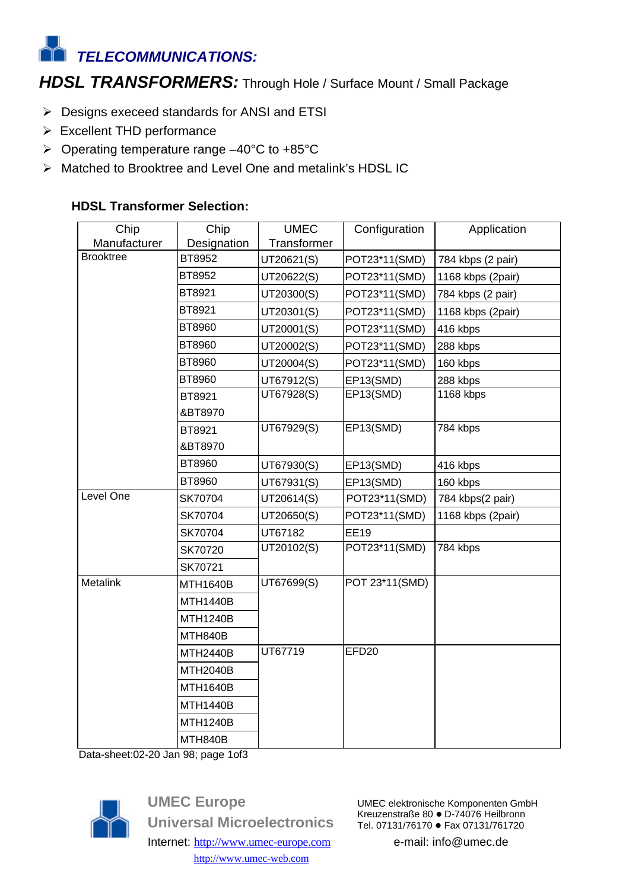# *TELECOMMUNICATIONS:*

## *HDSL TRANSFORMERS:* Through Hole / Surface Mount / Small Package

- $\triangleright$  Designs execeed standards for ANSI and ETSI
- $\triangleright$  Excellent THD performance
- $\triangleright$  Operating temperature range –40°C to +85°C
- ▶ Matched to Brooktree and Level One and metalink's HDSL IC

### **HDSL Transformer Selection:**

| Chip             | Chip            | <b>UMEC</b> | Configuration     | Application       |
|------------------|-----------------|-------------|-------------------|-------------------|
| Manufacturer     | Designation     | Transformer |                   |                   |
| <b>Brooktree</b> | BT8952          | UT20621(S)  | POT23*11(SMD)     | 784 kbps (2 pair) |
|                  | BT8952          | UT20622(S)  | POT23*11(SMD)     | 1168 kbps (2pair) |
|                  | BT8921          | UT20300(S)  | POT23*11(SMD)     | 784 kbps (2 pair) |
|                  | BT8921          | UT20301(S)  | POT23*11(SMD)     | 1168 kbps (2pair) |
|                  | BT8960          | UT20001(S)  | POT23*11(SMD)     | 416 kbps          |
|                  | BT8960          | UT20002(S)  | POT23*11(SMD)     | 288 kbps          |
|                  | BT8960          | UT20004(S)  | POT23*11(SMD)     | 160 kbps          |
|                  | BT8960          | UT67912(S)  | EP13(SMD)         | 288 kbps          |
|                  | BT8921          | UT67928(S)  | EP13(SMD)         | 1168 kbps         |
|                  | &BT8970         |             |                   |                   |
|                  | BT8921          | UT67929(S)  | EP13(SMD)         | 784 kbps          |
|                  | &BT8970         |             |                   |                   |
|                  | BT8960          | UT67930(S)  | EP13(SMD)         | 416 kbps          |
|                  | BT8960          | UT67931(S)  | EP13(SMD)         | 160 kbps          |
| Level One        | SK70704         | UT20614(S)  | POT23*11(SMD)     | 784 kbps(2 pair)  |
|                  | SK70704         | UT20650(S)  | POT23*11(SMD)     | 1168 kbps (2pair) |
|                  | SK70704         | UT67182     | <b>EE19</b>       |                   |
|                  | SK70720         | UT20102(S)  | POT23*11(SMD)     | 784 kbps          |
|                  | SK70721         |             |                   |                   |
| Metalink         | MTH1640B        | UT67699(S)  | POT 23*11(SMD)    |                   |
|                  | <b>MTH1440B</b> |             |                   |                   |
|                  | MTH1240B        |             |                   |                   |
|                  | MTH840B         |             |                   |                   |
|                  | MTH2440B        | UT67719     | EFD <sub>20</sub> |                   |
|                  | <b>MTH2040B</b> |             |                   |                   |
|                  | <b>MTH1640B</b> |             |                   |                   |
|                  | <b>MTH1440B</b> |             |                   |                   |
|                  | <b>MTH1240B</b> |             |                   |                   |
|                  | MTH840B         |             |                   |                   |

Data-sheet:02-20 Jan 98; page 1of3



**UMEC Europe Universal Microelectronics** Internet: http://www.umec-europe.com http://www.umec-web.com

UMEC elektronische Komponenten GmbH Kreuzenstraße 80 · D-74076 Heilbronn Tel. 07131/76170 · Fax 07131/761720

e-mail: info@umec.de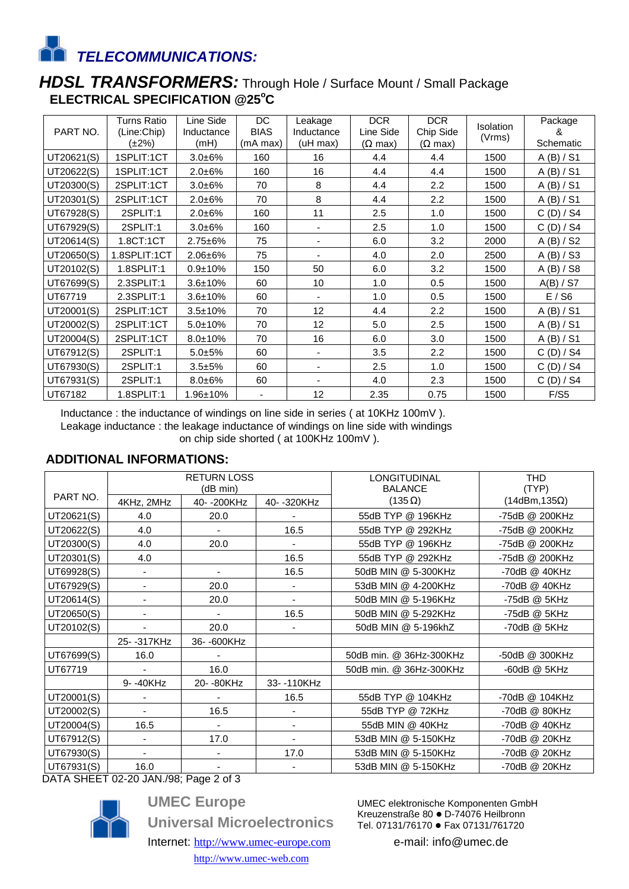*TELECOMMUNICATIONS:*

## *HDSL TRANSFORMERS:* Through Hole / Surface Mount / Small Package **ELECTRICAL SPECIFICATION @25<sup>o</sup>C**

| PART NO.   | <b>Turns Ratio</b><br>(Line:Chip)<br>(±2%) | Line Side<br>Inductance<br>(mH) | DC<br><b>BIAS</b><br>(mA max) | Leakage<br>Inductance<br>(uH max) | <b>DCR</b><br>Line Side<br>$(\Omega \text{ max})$ | <b>DCR</b><br>Chip Side<br>$(\Omega \text{ max})$ | <b>Isolation</b><br>(Vrms) | Package<br>&<br>Schematic |
|------------|--------------------------------------------|---------------------------------|-------------------------------|-----------------------------------|---------------------------------------------------|---------------------------------------------------|----------------------------|---------------------------|
| UT20621(S) | 1SPLIT:1CT                                 | $3.0 + 6%$                      | 160                           | 16                                | 4.4                                               | 4.4                                               | 1500                       | A (B) / S1                |
| UT20622(S) | 1SPLIT:1CT                                 | $2.0 + 6%$                      | 160                           | 16                                | 4.4                                               | 4.4                                               | 1500                       | $A$ (B) / S1              |
| UT20300(S) | 2SPLIT:1CT                                 | $3.0 + 6%$                      | 70                            | 8                                 | 4.4                                               | 2.2                                               | 1500                       | A (B) / S1                |
| UT20301(S) | 2SPLIT:1CT                                 | $2.0 + 6%$                      | 70                            | 8                                 | 4.4                                               | 2.2                                               | 1500                       | A (B) / S1                |
| UT67928(S) | 2SPLIT:1                                   | $2.0 + 6%$                      | 160                           | 11                                | 2.5                                               | 1.0                                               | 1500                       | C(D)/S4                   |
| UT67929(S) | 2SPLIT:1                                   | $3.0 + 6%$                      | 160                           |                                   | 2.5                                               | 1.0                                               | 1500                       | C(D)/S4                   |
| UT20614(S) | 1.8CT:1CT                                  | $2.75 + 6%$                     | 75                            |                                   | 6.0                                               | 3.2                                               | 2000                       | A (B) / S2                |
| UT20650(S) | 1.8SPLIT:1CT                               | $2.06 + 6%$                     | 75                            |                                   | 4.0                                               | 2.0                                               | 2500                       | A (B) / S3                |
| UT20102(S) | 1.8SPLIT:1                                 | $0.9 + 10%$                     | 150                           | 50                                | 6.0                                               | 3.2                                               | 1500                       | A (B) / S8                |
| UT67699(S) | 2.3SPLIT:1                                 | $3.6 \pm 10\%$                  | 60                            | 10 <sup>1</sup>                   | 1.0                                               | 0.5                                               | 1500                       | A(B) / ST                 |
| UT67719    | 2.3SPLIT:1                                 | $3.6 + 10%$                     | 60                            |                                   | 1.0                                               | 0.5                                               | 1500                       | E / S6                    |
| UT20001(S) | 2SPLIT:1CT                                 | $3.5 \pm 10%$                   | 70                            | 12                                | 4.4                                               | 2.2                                               | 1500                       | $A$ (B) / S1              |
| UT20002(S) | 2SPLIT:1CT                                 | $5.0 \pm 10\%$                  | 70                            | 12                                | 5.0                                               | 2.5                                               | 1500                       | A (B) / S1                |
| UT20004(S) | 2SPLIT:1CT                                 | $8.0 \pm 10\%$                  | 70                            | 16                                | 6.0                                               | 3.0                                               | 1500                       | A (B) / S1                |
| UT67912(S) | 2SPLIT:1                                   | $5.0 + 5%$                      | 60                            | $\blacksquare$                    | 3.5                                               | 2.2                                               | 1500                       | C(D)/S4                   |
| UT67930(S) | 2SPLIT:1                                   | $3.5 + 5%$                      | 60                            | ٠                                 | 2.5                                               | 1.0                                               | 1500                       | C(D)/S4                   |
| UT67931(S) | 2SPLIT:1                                   | $8.0 + 6%$                      | 60                            | $\overline{\phantom{0}}$          | 4.0                                               | 2.3                                               | 1500                       | C(D)/S4                   |
| UT67182    | 1.8SPLIT:1                                 | 1.96±10%                        |                               | 12                                | 2.35                                              | 0.75                                              | 1500                       | F/S5                      |

Inductance : the inductance of windings on line side in series ( at 10KHz 100mV ).

Leakage inductance : the leakage inductance of windings on line side with windings

on chip side shorted ( at 100KHz 100mV ).

#### **ADDITIONAL INFORMATIONS:**

|            | <b>RETURN LOSS</b><br>(dB min) |                |                          | LONGITUDINAL<br><b>BALANCE</b> | <b>THD</b><br>(TYP)  |  |
|------------|--------------------------------|----------------|--------------------------|--------------------------------|----------------------|--|
| PART NO.   | 4KHz, 2MHz                     | 40--200KHz     | 40- - 320KHz             | $(135 \Omega)$                 | $(14dBm, 135\Omega)$ |  |
| UT20621(S) | 4.0                            | 20.0           |                          | 55dB TYP @ 196KHz              | -75dB @ 200KHz       |  |
| UT20622(S) | 4.0                            |                | 16.5                     | 55dB TYP @ 292KHz              | -75dB @ 200KHz       |  |
| UT20300(S) | 4.0                            | 20.0           |                          | 55dB TYP @ 196KHz              | -75dB @ 200KHz       |  |
| UT20301(S) | 4.0                            |                | 16.5                     | 55dB TYP @ 292KHz              | -75dB @ 200KHz       |  |
| UT69928(S) |                                | $\blacksquare$ | 16.5                     | 50dB MIN @ 5-300KHz            | -70dB @ 40KHz        |  |
| UT67929(S) |                                | 20.0           |                          | 53dB MIN @ 4-200KHz            | -70dB @ 40KHz        |  |
| UT20614(S) |                                | 20.0           | $\overline{\phantom{0}}$ | 50dB MIN @ 5-196KHz            | -75dB @ 5KHz         |  |
| UT20650(S) |                                |                | 16.5                     | 50dB MIN @ 5-292KHz            | -75dB @ 5KHz         |  |
| UT20102(S) |                                | 20.0           |                          | 50dB MIN @ 5-196khZ            | -70dB @ 5KHz         |  |
|            | 25- - 317KHz                   | 36-600KHz      |                          |                                |                      |  |
| UT67699(S) | 16.0                           |                |                          | 50dB min. @ 36Hz-300KHz        | -50dB @ 300KHz       |  |
| UT67719    |                                | 16.0           |                          | 50dB min. @ 36Hz-300KHz        | -60dB @ 5KHz         |  |
|            | 9- -40KHz                      | 20- - 80KHz    | 33--110KHz               |                                |                      |  |
| UT20001(S) |                                |                | 16.5                     | 55dB TYP @ 104KHz              | -70dB @ 104KHz       |  |
| UT20002(S) |                                | 16.5           |                          | 55dB TYP @ 72KHz               | -70dB @ 80KHz        |  |
| UT20004(S) | 16.5                           |                |                          | 55dB MIN @ 40KHz               | -70dB @ 40KHz        |  |
| UT67912(S) |                                | 17.0           |                          | 53dB MIN @ 5-150KHz            | -70dB @ 20KHz        |  |
| UT67930(S) |                                |                | 17.0                     | 53dB MIN @ 5-150KHz            | -70dB @ 20KHz        |  |
| UT67931(S) | 16.0                           |                |                          | 53dB MIN @ 5-150KHz            | -70dB @ 20KHz        |  |

DATA SHEET 02-20 JAN./98; Page 2 of 3



**UMEC Europe Universal Microelectronics** Internet: http://www.umec-europe.com http://www.umec-web.com

UMEC elektronische Komponenten GmbH Kreuzenstraße 80 · D-74076 Heilbronn Tel. 07131/76170 · Fax 07131/761720

e-mail: info@umec.de